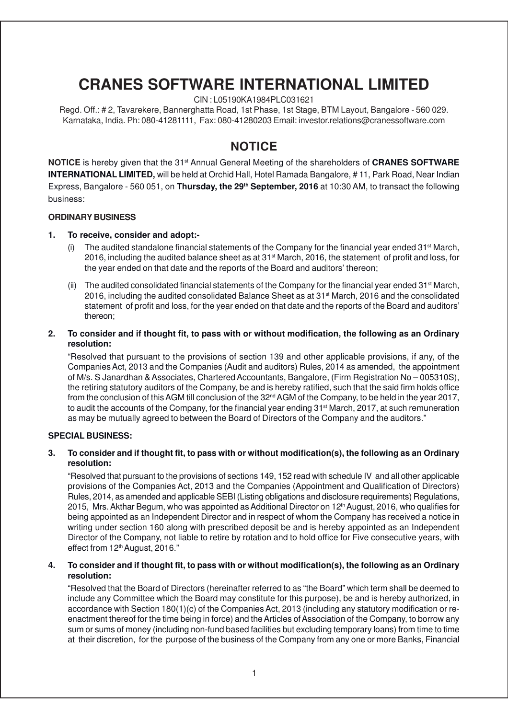## **CRANES SOFTWARE INTERNATIONAL LIMITED**

CIN : L05190KA1984PLC031621

Regd. Off.: # 2, Tavarekere, Bannerghatta Road, 1st Phase, 1st Stage, BTM Layout, Bangalore - 560 029. Karnataka, India. Ph: 080-41281111, Fax: 080-41280203 Email: investor.relations@cranessoftware.com

### **NOTICE**

**NOTICE** is hereby given that the 31st Annual General Meeting of the shareholders of **CRANES SOFTWARE INTERNATIONAL LIMITED,** will be held at Orchid Hall, Hotel Ramada Bangalore, # 11, Park Road, Near Indian Express, Bangalore - 560 051, on **Thursday, the 29th September, 2016** at 10:30 AM, to transact the following business:

### **ORDINARY BUSINESS**

### **1. To receive, consider and adopt:-**

- (i) The audited standalone financial statements of the Company for the financial year ended  $31^{st}$  March, 2016, including the audited balance sheet as at 31st March, 2016, the statement of profit and loss, for the year ended on that date and the reports of the Board and auditors' thereon;
- (ii) The audited consolidated financial statements of the Company for the financial year ended  $31<sup>st</sup>$  March, 2016, including the audited consolidated Balance Sheet as at 31st March, 2016 and the consolidated statement of profit and loss, for the year ended on that date and the reports of the Board and auditors' thereon;

### **2. To consider and if thought fit, to pass with or without modification, the following as an Ordinary resolution:**

"Resolved that pursuant to the provisions of section 139 and other applicable provisions, if any, of the Companies Act, 2013 and the Companies (Audit and auditors) Rules, 2014 as amended, the appointment of M/s. S Janardhan & Associates, Chartered Accountants, Bangalore, (Firm Registration No – 005310S), the retiring statutory auditors of the Company, be and is hereby ratified, such that the said firm holds office from the conclusion of this AGM till conclusion of the  $32<sup>nd</sup>$  AGM of the Company, to be held in the year 2017, to audit the accounts of the Company, for the financial year ending 31<sup>st</sup> March, 2017, at such remuneration as may be mutually agreed to between the Board of Directors of the Company and the auditors."

### **SPECIAL BUSINESS:**

### **3. To consider and if thought fit, to pass with or without modification(s), the following as an Ordinary resolution:**

"Resolved that pursuant to the provisions of sections 149, 152 read with schedule IV and all other applicable provisions of the Companies Act, 2013 and the Companies (Appointment and Qualification of Directors) Rules, 2014, as amended and applicable SEBI (Listing obligations and disclosure requirements) Regulations, 2015, Mrs. Akthar Begum, who was appointed as Additional Director on 12<sup>th</sup> August, 2016, who qualifies for being appointed as an Independent Director and in respect of whom the Company has received a notice in writing under section 160 along with prescribed deposit be and is hereby appointed as an Independent Director of the Company, not liable to retire by rotation and to hold office for Five consecutive years, with effect from 12<sup>th</sup> August, 2016."

### **4. To consider and if thought fit, to pass with or without modification(s), the following as an Ordinary resolution:**

"Resolved that the Board of Directors (hereinafter referred to as "the Board" which term shall be deemed to include any Committee which the Board may constitute for this purpose), be and is hereby authorized, in accordance with Section 180(1)(c) of the Companies Act, 2013 (including any statutory modification or reenactment thereof for the time being in force) and the Articles of Association of the Company, to borrow any sum or sums of money (including non-fund based facilities but excluding temporary loans) from time to time at their discretion, for the purpose of the business of the Company from any one or more Banks, Financial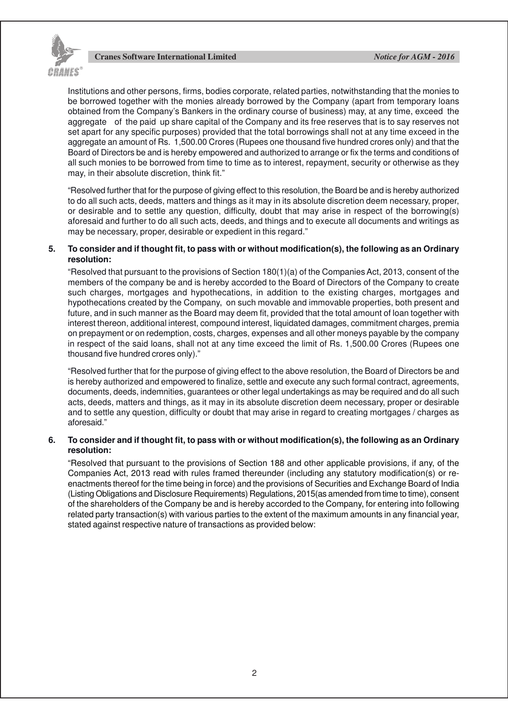

Institutions and other persons, firms, bodies corporate, related parties, notwithstanding that the monies to be borrowed together with the monies already borrowed by the Company (apart from temporary loans obtained from the Company's Bankers in the ordinary course of business) may, at any time, exceed the aggregate of the paid up share capital of the Company and its free reserves that is to say reserves not set apart for any specific purposes) provided that the total borrowings shall not at any time exceed in the aggregate an amount of Rs. 1,500.00 Crores (Rupees one thousand five hundred crores only) and that the Board of Directors be and is hereby empowered and authorized to arrange or fix the terms and conditions of all such monies to be borrowed from time to time as to interest, repayment, security or otherwise as they may, in their absolute discretion, think fit."

"Resolved further that for the purpose of giving effect to this resolution, the Board be and is hereby authorized to do all such acts, deeds, matters and things as it may in its absolute discretion deem necessary, proper, or desirable and to settle any question, difficulty, doubt that may arise in respect of the borrowing(s) aforesaid and further to do all such acts, deeds, and things and to execute all documents and writings as may be necessary, proper, desirable or expedient in this regard."

### **5. To consider and if thought fit, to pass with or without modification(s), the following as an Ordinary resolution:**

"Resolved that pursuant to the provisions of Section 180(1)(a) of the Companies Act, 2013, consent of the members of the company be and is hereby accorded to the Board of Directors of the Company to create such charges, mortgages and hypothecations, in addition to the existing charges, mortgages and hypothecations created by the Company, on such movable and immovable properties, both present and future, and in such manner as the Board may deem fit, provided that the total amount of loan together with interest thereon, additional interest, compound interest, liquidated damages, commitment charges, premia on prepayment or on redemption, costs, charges, expenses and all other moneys payable by the company in respect of the said loans, shall not at any time exceed the limit of Rs. 1,500.00 Crores (Rupees one thousand five hundred crores only)."

"Resolved further that for the purpose of giving effect to the above resolution, the Board of Directors be and is hereby authorized and empowered to finalize, settle and execute any such formal contract, agreements, documents, deeds, indemnities, guarantees or other legal undertakings as may be required and do all such acts, deeds, matters and things, as it may in its absolute discretion deem necessary, proper or desirable and to settle any question, difficulty or doubt that may arise in regard to creating mortgages / charges as aforesaid."

### **6. To consider and if thought fit, to pass with or without modification(s), the following as an Ordinary resolution:**

"Resolved that pursuant to the provisions of Section 188 and other applicable provisions, if any, of the Companies Act, 2013 read with rules framed thereunder (including any statutory modification(s) or reenactments thereof for the time being in force) and the provisions of Securities and Exchange Board of India (Listing Obligations and Disclosure Requirements) Regulations, 2015(as amended from time to time), consent of the shareholders of the Company be and is hereby accorded to the Company, for entering into following related party transaction(s) with various parties to the extent of the maximum amounts in any financial year, stated against respective nature of transactions as provided below: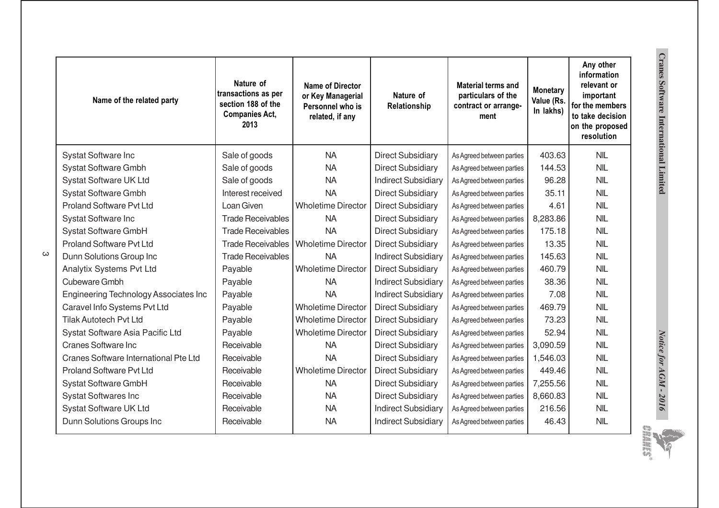|          | Name of the related party             | Nature of<br>transactions as per<br>section 188 of the<br><b>Companies Act,</b><br>2013 | <b>Name of Director</b><br>or Key Managerial<br>Personnel who is<br>related, if any | Nature of<br>Relationship  | <b>Material terms and</b><br>particulars of the<br>contract or arrange-<br>ment | <b>Monetary</b><br>Value (Rs.<br>In lakhs) | Any other<br>information<br>relevant or<br>important<br>for the members<br>to take decision<br>on the proposed<br>resolution |                                              |  |  |
|----------|---------------------------------------|-----------------------------------------------------------------------------------------|-------------------------------------------------------------------------------------|----------------------------|---------------------------------------------------------------------------------|--------------------------------------------|------------------------------------------------------------------------------------------------------------------------------|----------------------------------------------|--|--|
|          | Systat Software Inc                   | Sale of goods                                                                           | <b>NA</b>                                                                           | <b>Direct Subsidiary</b>   | As Agreed between parties                                                       | 403.63                                     | <b>NIL</b>                                                                                                                   |                                              |  |  |
|          | <b>Systat Software Gmbh</b>           | Sale of goods                                                                           | <b>NA</b>                                                                           | <b>Direct Subsidiary</b>   | As Agreed between parties                                                       | 144.53                                     | <b>NIL</b>                                                                                                                   |                                              |  |  |
|          | Systat Software UK Ltd                | Sale of goods                                                                           | <b>NA</b>                                                                           | <b>Indirect Subsidiary</b> | As Agreed between parties                                                       | 96.28                                      | <b>NIL</b>                                                                                                                   | <b>Cranes Software International Limited</b> |  |  |
|          | Systat Software Gmbh                  | Interest received                                                                       | <b>NA</b>                                                                           | <b>Direct Subsidiary</b>   | As Agreed between parties                                                       | 35.11                                      | <b>NIL</b>                                                                                                                   |                                              |  |  |
|          | <b>Proland Software Pvt Ltd</b>       | Loan Given                                                                              | <b>Wholetime Director</b>                                                           | <b>Direct Subsidiary</b>   | As Agreed between parties                                                       | 4.61                                       | <b>NIL</b>                                                                                                                   |                                              |  |  |
|          | Systat Software Inc                   | <b>Trade Receivables</b>                                                                | <b>NA</b>                                                                           | <b>Direct Subsidiary</b>   | As Agreed between parties                                                       | 8,283.86                                   | <b>NIL</b>                                                                                                                   |                                              |  |  |
|          | Systat Software GmbH                  | <b>Trade Receivables</b>                                                                | <b>NA</b>                                                                           | <b>Direct Subsidiary</b>   | As Agreed between parties                                                       | 175.18                                     | <b>NIL</b>                                                                                                                   |                                              |  |  |
|          | <b>Proland Software Pvt Ltd</b>       |                                                                                         | Trade Receivables   Wholetime Director                                              | <b>Direct Subsidiary</b>   | As Agreed between parties                                                       | 13.35                                      | <b>NIL</b>                                                                                                                   |                                              |  |  |
| $\omega$ | Dunn Solutions Group Inc              | <b>Trade Receivables</b>                                                                | <b>NA</b>                                                                           | <b>Indirect Subsidiary</b> | As Agreed between parties                                                       | 145.63                                     | <b>NIL</b>                                                                                                                   |                                              |  |  |
|          | Analytix Systems Pvt Ltd              | Payable                                                                                 | <b>Wholetime Director</b>                                                           | <b>Direct Subsidiary</b>   | As Agreed between parties                                                       | 460.79                                     | <b>NIL</b>                                                                                                                   |                                              |  |  |
|          | <b>Cubeware Gmbh</b>                  | Payable                                                                                 | <b>NA</b>                                                                           | <b>Indirect Subsidiary</b> | As Agreed between parties                                                       | 38.36                                      | <b>NIL</b>                                                                                                                   |                                              |  |  |
|          | Engineering Technology Associates Inc | Payable                                                                                 | <b>NA</b>                                                                           | <b>Indirect Subsidiary</b> | As Agreed between parties                                                       | 7.08                                       | <b>NIL</b>                                                                                                                   |                                              |  |  |
|          | Caravel Info Systems Pvt Ltd          | Payable                                                                                 | <b>Wholetime Director</b>                                                           | <b>Direct Subsidiary</b>   | As Agreed between parties                                                       | 469.79                                     | <b>NIL</b>                                                                                                                   |                                              |  |  |
|          | <b>Tilak Autotech Pvt Ltd</b>         | Payable                                                                                 | <b>Wholetime Director</b>                                                           | <b>Direct Subsidiary</b>   | As Agreed between parties                                                       | 73.23                                      | <b>NIL</b>                                                                                                                   |                                              |  |  |
|          | Systat Software Asia Pacific Ltd      | Payable                                                                                 | <b>Wholetime Director</b>                                                           | <b>Direct Subsidiary</b>   | As Agreed between parties                                                       | 52.94                                      | <b>NIL</b>                                                                                                                   | Notice for AGM - 2016                        |  |  |
|          | <b>Cranes Software Inc</b>            | Receivable                                                                              | <b>NA</b>                                                                           | <b>Direct Subsidiary</b>   | As Agreed between parties                                                       | 3,090.59                                   | <b>NIL</b>                                                                                                                   |                                              |  |  |
|          | Cranes Software International Pte Ltd | Receivable                                                                              | <b>NA</b>                                                                           | <b>Direct Subsidiary</b>   | As Agreed between parties                                                       | 1,546.03                                   | <b>NIL</b>                                                                                                                   |                                              |  |  |
|          | <b>Proland Software Pvt Ltd</b>       | Receivable                                                                              | <b>Wholetime Director</b>                                                           | <b>Direct Subsidiary</b>   | As Agreed between parties                                                       | 449.46                                     | <b>NIL</b>                                                                                                                   |                                              |  |  |
|          | Systat Software GmbH                  | Receivable                                                                              | <b>NA</b>                                                                           | <b>Direct Subsidiary</b>   | As Agreed between parties                                                       | 7,255.56                                   | <b>NIL</b>                                                                                                                   |                                              |  |  |
|          | <b>Systat Softwares Inc</b>           | Receivable                                                                              | <b>NA</b>                                                                           | <b>Direct Subsidiary</b>   | As Agreed between parties                                                       | 8,660.83                                   | <b>NIL</b>                                                                                                                   |                                              |  |  |
|          | Systat Software UK Ltd                | Receivable                                                                              | <b>NA</b>                                                                           | <b>Indirect Subsidiary</b> | As Agreed between parties                                                       | 216.56                                     | <b>NIL</b>                                                                                                                   |                                              |  |  |
|          | Dunn Solutions Groups Inc             | Receivable                                                                              | <b>NA</b>                                                                           | <b>Indirect Subsidiary</b> | As Agreed between parties                                                       | 46.43                                      | <b>NIL</b>                                                                                                                   | sp.                                          |  |  |

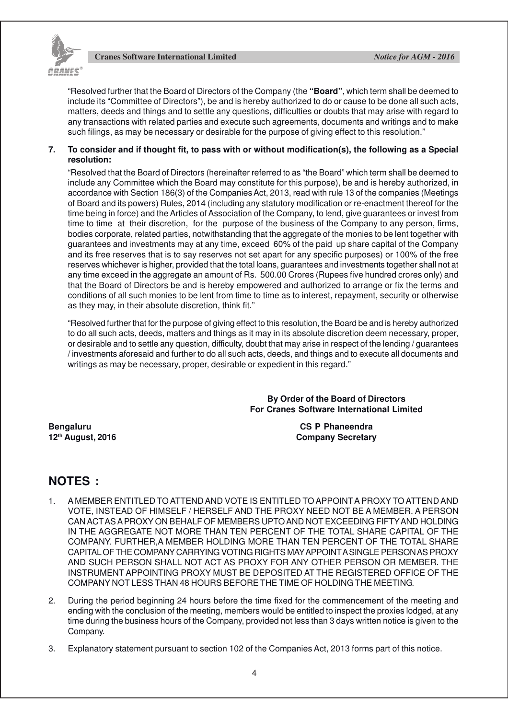

"Resolved further that the Board of Directors of the Company (the **"Board"**, which term shall be deemed to include its "Committee of Directors"), be and is hereby authorized to do or cause to be done all such acts, matters, deeds and things and to settle any questions, difficulties or doubts that may arise with regard to any transactions with related parties and execute such agreements, documents and writings and to make such filings, as may be necessary or desirable for the purpose of giving effect to this resolution."

### **7. To consider and if thought fit, to pass with or without modification(s), the following as a Special resolution:**

"Resolved that the Board of Directors (hereinafter referred to as "the Board" which term shall be deemed to include any Committee which the Board may constitute for this purpose), be and is hereby authorized, in accordance with Section 186(3) of the Companies Act, 2013, read with rule 13 of the companies (Meetings of Board and its powers) Rules, 2014 (including any statutory modification or re-enactment thereof for the time being in force) and the Articles of Association of the Company, to lend, give guarantees or invest from time to time at their discretion, for the purpose of the business of the Company to any person, firms, bodies corporate, related parties, notwithstanding that the aggregate of the monies to be lent together with guarantees and investments may at any time, exceed 60% of the paid up share capital of the Company and its free reserves that is to say reserves not set apart for any specific purposes) or 100% of the free reserves whichever is higher, provided that the total loans, guarantees and investments together shall not at any time exceed in the aggregate an amount of Rs. 500.00 Crores (Rupees five hundred crores only) and that the Board of Directors be and is hereby empowered and authorized to arrange or fix the terms and conditions of all such monies to be lent from time to time as to interest, repayment, security or otherwise as they may, in their absolute discretion, think fit."

"Resolved further that for the purpose of giving effect to this resolution, the Board be and is hereby authorized to do all such acts, deeds, matters and things as it may in its absolute discretion deem necessary, proper, or desirable and to settle any question, difficulty, doubt that may arise in respect of the lending / guarantees / investments aforesaid and further to do all such acts, deeds, and things and to execute all documents and writings as may be necessary, proper, desirable or expedient in this regard."

> **By Order of the Board of Directors For Cranes Software International Limited**

**Bengaluru CS P Phaneendra 12th August, 2016 Company Secretary**

### **NOTES :**

- 1. A MEMBER ENTITLED TO ATTEND AND VOTE IS ENTITLED TO APPOINT A PROXY TO ATTEND AND VOTE, INSTEAD OF HIMSELF / HERSELF AND THE PROXY NEED NOT BE A MEMBER. A PERSON CAN ACTAS A PROXY ON BEHALF OF MEMBERS UPTO AND NOT EXCEEDING FIFTYAND HOLDING IN THE AGGREGATE NOT MORE THAN TEN PERCENT OF THE TOTAL SHARE CAPITAL OF THE COMPANY. FURTHER,A MEMBER HOLDING MORE THAN TEN PERCENT OF THE TOTAL SHARE CAPITAL OF THE COMPANY CARRYING VOTING RIGHTS MAY APPOINT A SINGLE PERSON AS PROXY AND SUCH PERSON SHALL NOT ACT AS PROXY FOR ANY OTHER PERSON OR MEMBER. THE INSTRUMENT APPOINTING PROXY MUST BE DEPOSITED AT THE REGISTERED OFFICE OF THE COMPANY NOT LESS THAN 48 HOURS BEFORE THE TIME OF HOLDING THE MEETING.
- 2. During the period beginning 24 hours before the time fixed for the commencement of the meeting and ending with the conclusion of the meeting, members would be entitled to inspect the proxies lodged, at any time during the business hours of the Company, provided not less than 3 days written notice is given to the Company.
- 3. Explanatory statement pursuant to section 102 of the Companies Act, 2013 forms part of this notice.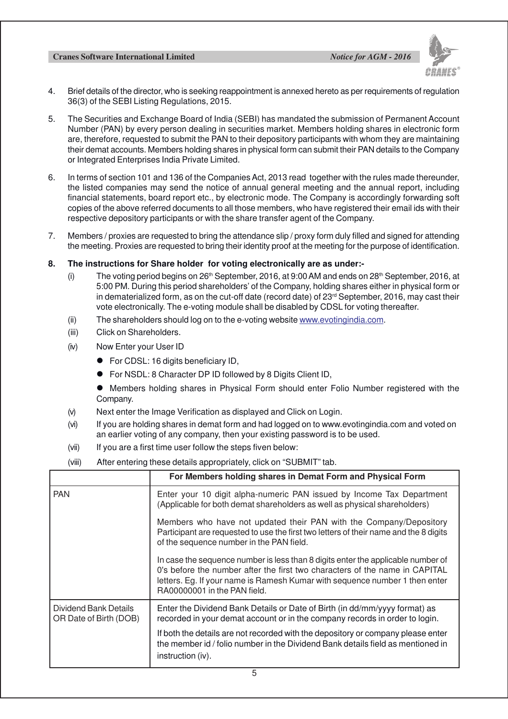

- 4. Brief details of the director, who is seeking reappointment is annexed hereto as per requirements of regulation 36(3) of the SEBI Listing Regulations, 2015.
- 5. The Securities and Exchange Board of India (SEBI) has mandated the submission of Permanent Account Number (PAN) by every person dealing in securities market. Members holding shares in electronic form are, therefore, requested to submit the PAN to their depository participants with whom they are maintaining their demat accounts. Members holding shares in physical form can submit their PAN details to the Company or Integrated Enterprises India Private Limited.
- 6. In terms of section 101 and 136 of the Companies Act, 2013 read together with the rules made thereunder, the listed companies may send the notice of annual general meeting and the annual report, including financial statements, board report etc., by electronic mode. The Company is accordingly forwarding soft copies of the above referred documents to all those members, who have registered their email ids with their respective depository participants or with the share transfer agent of the Company.
- 7. Members / proxies are requested to bring the attendance slip / proxy form duly filled and signed for attending the meeting. Proxies are requested to bring their identity proof at the meeting for the purpose of identification.
- **8. The instructions for Share holder for voting electronically are as under:-**
	- (i) The voting period begins on 26<sup>th</sup> September, 2016, at 9:00 AM and ends on 28<sup>th</sup> September, 2016, at 5:00 PM. During this period shareholders' of the Company, holding shares either in physical form or in dematerialized form, as on the cut-off date (record date) of  $23<sup>rd</sup>$  September, 2016, may cast their vote electronically. The e-voting module shall be disabled by CDSL for voting thereafter.
	- (ii) The shareholders should log on to the e-voting website www.evotingindia.com.
	- (iii) Click on Shareholders.
	- (iv) Now Enter your User ID
		- For CDSL: 16 digits beneficiary ID,
		- For NSDL: 8 Character DP ID followed by 8 Digits Client ID,
		- Members holding shares in Physical Form should enter Folio Number registered with the Company.
	- (v) Next enter the Image Verification as displayed and Click on Login.
	- (vi) If you are holding shares in demat form and had logged on to www.evotingindia.com and voted on an earlier voting of any company, then your existing password is to be used.
	- (vii) If you are a first time user follow the steps fiven below:
	- (viii) After entering these details appropriately, click on "SUBMIT" tab.

|                                                 | For Members holding shares in Demat Form and Physical Form                                                                                                                                                                                                                     |  |
|-------------------------------------------------|--------------------------------------------------------------------------------------------------------------------------------------------------------------------------------------------------------------------------------------------------------------------------------|--|
| <b>PAN</b>                                      | Enter your 10 digit alpha-numeric PAN issued by Income Tax Department<br>(Applicable for both demat shareholders as well as physical shareholders)                                                                                                                             |  |
|                                                 | Members who have not updated their PAN with the Company/Depository<br>Participant are requested to use the first two letters of their name and the 8 digits<br>of the sequence number in the PAN field.                                                                        |  |
|                                                 | In case the sequence number is less than 8 digits enter the applicable number of<br>0's before the number after the first two characters of the name in CAPITAL<br>letters. Eg. If your name is Ramesh Kumar with sequence number 1 then enter<br>RA00000001 in the PAN field. |  |
| Dividend Bank Details<br>OR Date of Birth (DOB) | Enter the Dividend Bank Details or Date of Birth (in dd/mm/yyyy format) as<br>recorded in your demat account or in the company records in order to login.                                                                                                                      |  |
|                                                 | If both the details are not recorded with the depository or company please enter<br>the member id / folio number in the Dividend Bank details field as mentioned in<br>instruction (iv).                                                                                       |  |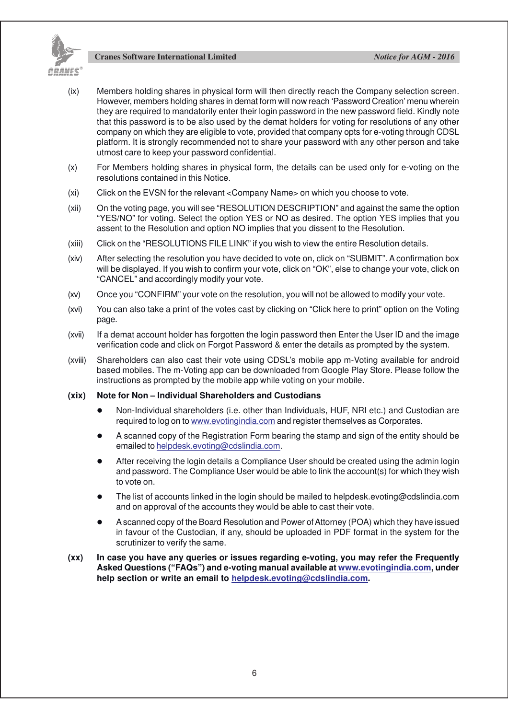

- (ix) Members holding shares in physical form will then directly reach the Company selection screen. However, members holding shares in demat form will now reach 'Password Creation' menu wherein they are required to mandatorily enter their login password in the new password field. Kindly note that this password is to be also used by the demat holders for voting for resolutions of any other company on which they are eligible to vote, provided that company opts for e-voting through CDSL platform. It is strongly recommended not to share your password with any other person and take utmost care to keep your password confidential.
- (x) For Members holding shares in physical form, the details can be used only for e-voting on the resolutions contained in this Notice.
- (xi) Click on the EVSN for the relevant <Company Name> on which you choose to vote.
- (xii) On the voting page, you will see "RESOLUTION DESCRIPTION" and against the same the option "YES/NO" for voting. Select the option YES or NO as desired. The option YES implies that you assent to the Resolution and option NO implies that you dissent to the Resolution.
- (xiii) Click on the "RESOLUTIONS FILE LINK" if you wish to view the entire Resolution details.
- (xiv) After selecting the resolution you have decided to vote on, click on "SUBMIT". A confirmation box will be displayed. If you wish to confirm your vote, click on "OK", else to change your vote, click on "CANCEL" and accordingly modify your vote.
- (xv) Once you "CONFIRM" your vote on the resolution, you will not be allowed to modify your vote.
- (xvi) You can also take a print of the votes cast by clicking on "Click here to print" option on the Voting page.
- (xvii) If a demat account holder has forgotten the login password then Enter the User ID and the image verification code and click on Forgot Password & enter the details as prompted by the system.
- (xviii) Shareholders can also cast their vote using CDSL's mobile app m-Voting available for android based mobiles. The m-Voting app can be downloaded from Google Play Store. Please follow the instructions as prompted by the mobile app while voting on your mobile.

#### **(xix) Note for Non – Individual Shareholders and Custodians**

- l Non-Individual shareholders (i.e. other than Individuals, HUF, NRI etc.) and Custodian are required to log on to www.evotingindia.com and register themselves as Corporates.
- l A scanned copy of the Registration Form bearing the stamp and sign of the entity should be emailed to helpdesk.evoting@cdslindia.com.
- After receiving the login details a Compliance User should be created using the admin login and password. The Compliance User would be able to link the account(s) for which they wish to vote on.
- The list of accounts linked in the login should be mailed to helpdesk.evoting@cdslindia.com and on approval of the accounts they would be able to cast their vote.
- l A scanned copy of the Board Resolution and Power of Attorney (POA) which they have issued in favour of the Custodian, if any, should be uploaded in PDF format in the system for the scrutinizer to verify the same.
- **(xx) In case you have any queries or issues regarding e-voting, you may refer the Frequently Asked Questions ("FAQs") and e-voting manual available at www.evotingindia.com, under help section or write an email to helpdesk.evoting@cdslindia.com.**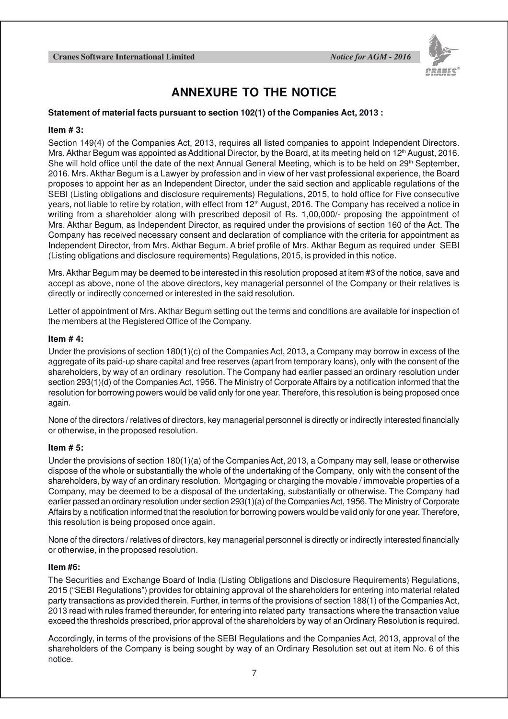

### **ANNEXURE TO THE NOTICE**

### **Statement of material facts pursuant to section 102(1) of the Companies Act, 2013 :**

#### **Item # 3:**

Section 149(4) of the Companies Act, 2013, requires all listed companies to appoint Independent Directors. Mrs. Akthar Begum was appointed as Additional Director, by the Board, at its meeting held on 12<sup>th</sup> August, 2016. She will hold office until the date of the next Annual General Meeting, which is to be held on 29<sup>th</sup> September, 2016. Mrs. Akthar Begum is a Lawyer by profession and in view of her vast professional experience, the Board proposes to appoint her as an Independent Director, under the said section and applicable regulations of the SEBI (Listing obligations and disclosure requirements) Regulations, 2015, to hold office for Five consecutive years, not liable to retire by rotation, with effect from  $12<sup>th</sup>$  August, 2016. The Company has received a notice in writing from a shareholder along with prescribed deposit of Rs. 1,00,000/- proposing the appointment of Mrs. Akthar Begum, as Independent Director, as required under the provisions of section 160 of the Act. The Company has received necessary consent and declaration of compliance with the criteria for appointment as Independent Director, from Mrs. Akthar Begum. A brief profile of Mrs. Akthar Begum as required under SEBI (Listing obligations and disclosure requirements) Regulations, 2015, is provided in this notice.

Mrs. Akthar Begum may be deemed to be interested in this resolution proposed at item #3 of the notice, save and accept as above, none of the above directors, key managerial personnel of the Company or their relatives is directly or indirectly concerned or interested in the said resolution.

Letter of appointment of Mrs. Akthar Begum setting out the terms and conditions are available for inspection of the members at the Registered Office of the Company.

### **Item # 4:**

Under the provisions of section 180(1)(c) of the Companies Act, 2013, a Company may borrow in excess of the aggregate of its paid-up share capital and free reserves (apart from temporary loans), only with the consent of the shareholders, by way of an ordinary resolution. The Company had earlier passed an ordinary resolution under section 293(1)(d) of the Companies Act, 1956. The Ministry of Corporate Affairs by a notification informed that the resolution for borrowing powers would be valid only for one year. Therefore, this resolution is being proposed once again.

None of the directors / relatives of directors, key managerial personnel is directly or indirectly interested financially or otherwise, in the proposed resolution.

#### **Item # 5:**

Under the provisions of section 180(1)(a) of the Companies Act, 2013, a Company may sell, lease or otherwise dispose of the whole or substantially the whole of the undertaking of the Company, only with the consent of the shareholders, by way of an ordinary resolution. Mortgaging or charging the movable / immovable properties of a Company, may be deemed to be a disposal of the undertaking, substantially or otherwise. The Company had earlier passed an ordinary resolution under section 293(1)(a) of the Companies Act, 1956. The Ministry of Corporate Affairs by a notification informed that the resolution for borrowing powers would be valid only for one year. Therefore, this resolution is being proposed once again.

None of the directors / relatives of directors, key managerial personnel is directly or indirectly interested financially or otherwise, in the proposed resolution.

#### **Item #6:**

The Securities and Exchange Board of India (Listing Obligations and Disclosure Requirements) Regulations, 2015 ("SEBI Regulations") provides for obtaining approval of the shareholders for entering into material related party transactions as provided therein. Further, in terms of the provisions of section 188(1) of the Companies Act, 2013 read with rules framed thereunder, for entering into related party transactions where the transaction value exceed the thresholds prescribed, prior approval of the shareholders by way of an Ordinary Resolution is required.

Accordingly, in terms of the provisions of the SEBI Regulations and the Companies Act, 2013, approval of the shareholders of the Company is being sought by way of an Ordinary Resolution set out at item No. 6 of this notice.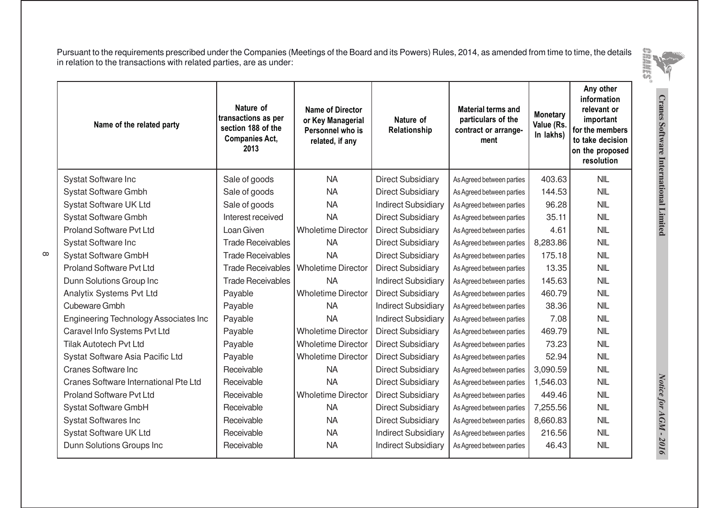Pursuant to the requirements prescribed under the Companies (Meetings of the Board and its Powers) Rules, 2014, as amended from time to time, the detailsin relation to the transactions with related parties, are as under:



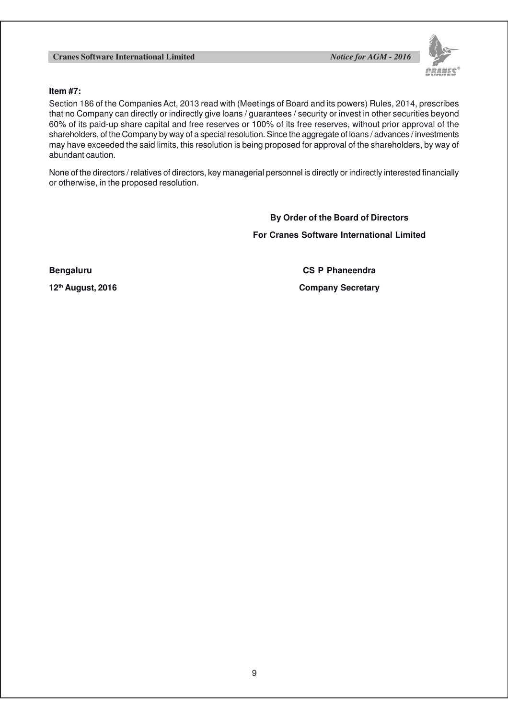

### **Item #7:**

Section 186 of the Companies Act, 2013 read with (Meetings of Board and its powers) Rules, 2014, prescribes that no Company can directly or indirectly give loans / guarantees / security or invest in other securities beyond 60% of its paid-up share capital and free reserves or 100% of its free reserves, without prior approval of the shareholders, of the Company by way of a special resolution. Since the aggregate of loans / advances / investments may have exceeded the said limits, this resolution is being proposed for approval of the shareholders, by way of abundant caution.

None of the directors / relatives of directors, key managerial personnel is directly or indirectly interested financially or otherwise, in the proposed resolution.

> **By Order of the Board of Directors For Cranes Software International Limited**

**Bengaluru CS P Phaneendra**

**12th August, 2016 Company Secretary**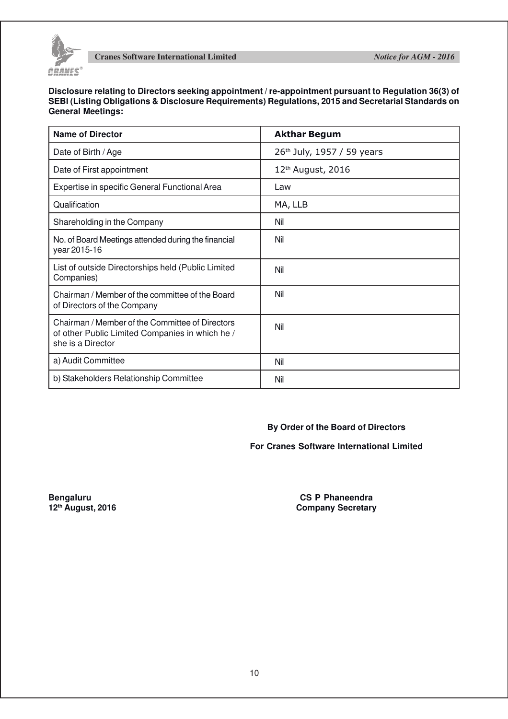

**Disclosure relating to Directors seeking appointment / re-appointment pursuant to Regulation 36(3) of SEBI (Listing Obligations & Disclosure Requirements) Regulations, 2015 and Secretarial Standards on General Meetings:**

| <b>Name of Director</b>                                                                                                 | <b>Akthar Begum</b>                    |  |  |
|-------------------------------------------------------------------------------------------------------------------------|----------------------------------------|--|--|
| Date of Birth / Age                                                                                                     | 26 <sup>th</sup> July, 1957 / 59 years |  |  |
| Date of First appointment                                                                                               | 12 <sup>th</sup> August, 2016          |  |  |
| Expertise in specific General Functional Area                                                                           | Law                                    |  |  |
| Qualification                                                                                                           | MA, LLB                                |  |  |
| Shareholding in the Company                                                                                             | Nil                                    |  |  |
| No. of Board Meetings attended during the financial<br>year 2015-16                                                     | Nil                                    |  |  |
| List of outside Directorships held (Public Limited<br>Companies)                                                        | Nil                                    |  |  |
| Chairman / Member of the committee of the Board<br>of Directors of the Company                                          | Nil                                    |  |  |
| Chairman / Member of the Committee of Directors<br>of other Public Limited Companies in which he /<br>she is a Director | Nil                                    |  |  |
| a) Audit Committee                                                                                                      | Nil                                    |  |  |
| b) Stakeholders Relationship Committee                                                                                  | Nil                                    |  |  |

**By Order of the Board of Directors**

### **For Cranes Software International Limited**

**Bengaluru CS P Phaneendra**<br> **CS P Phaneendra**<br> **CS P Phaneendra**<br> **COMPANE COMPANES 12th August, 2016 Company Secretary**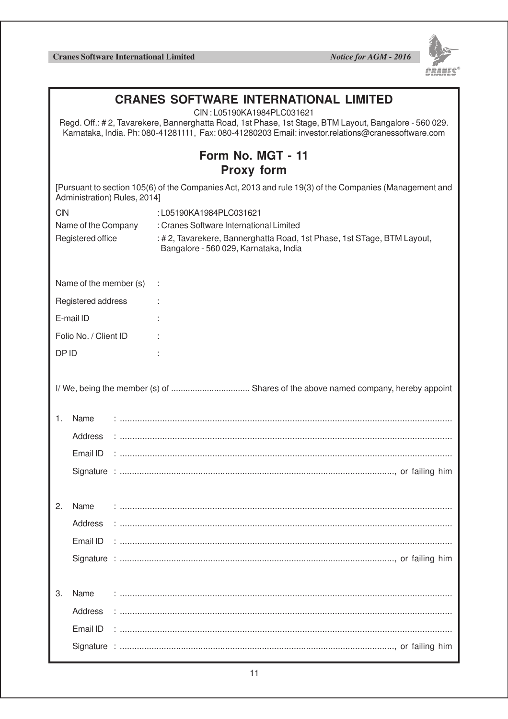

| <b>CRANES SOFTWARE INTERNATIONAL LIMITED</b><br>CIN: L05190KA1984PLC031621<br>Regd. Off.: #2, Tavarekere, Bannerghatta Road, 1st Phase, 1st Stage, BTM Layout, Bangalore - 560 029.<br>Karnataka, India. Ph: 080-41281111, Fax: 080-41280203 Email: investor.relations@cranessoftware.com |                                                                                                                                        |  |                                                                                                                  |  |  |  |  |
|-------------------------------------------------------------------------------------------------------------------------------------------------------------------------------------------------------------------------------------------------------------------------------------------|----------------------------------------------------------------------------------------------------------------------------------------|--|------------------------------------------------------------------------------------------------------------------|--|--|--|--|
| Form No. MGT - 11<br><b>Proxy form</b>                                                                                                                                                                                                                                                    |                                                                                                                                        |  |                                                                                                                  |  |  |  |  |
|                                                                                                                                                                                                                                                                                           | [Pursuant to section 105(6) of the Companies Act, 2013 and rule 19(3) of the Companies (Management and<br>Administration) Rules, 2014] |  |                                                                                                                  |  |  |  |  |
| <b>CIN</b><br>:L05190KA1984PLC031621                                                                                                                                                                                                                                                      |                                                                                                                                        |  |                                                                                                                  |  |  |  |  |
| Name of the Company                                                                                                                                                                                                                                                                       |                                                                                                                                        |  | : Cranes Software International Limited                                                                          |  |  |  |  |
| Registered office                                                                                                                                                                                                                                                                         |                                                                                                                                        |  | : # 2, Tavarekere, Bannerghatta Road, 1st Phase, 1st STage, BTM Layout,<br>Bangalore - 560 029, Karnataka, India |  |  |  |  |
|                                                                                                                                                                                                                                                                                           | Name of the member (s)                                                                                                                 |  |                                                                                                                  |  |  |  |  |
| Registered address                                                                                                                                                                                                                                                                        |                                                                                                                                        |  |                                                                                                                  |  |  |  |  |
| E-mail ID                                                                                                                                                                                                                                                                                 |                                                                                                                                        |  |                                                                                                                  |  |  |  |  |
| Folio No. / Client ID                                                                                                                                                                                                                                                                     |                                                                                                                                        |  |                                                                                                                  |  |  |  |  |
| DP ID                                                                                                                                                                                                                                                                                     |                                                                                                                                        |  |                                                                                                                  |  |  |  |  |
|                                                                                                                                                                                                                                                                                           |                                                                                                                                        |  |                                                                                                                  |  |  |  |  |
|                                                                                                                                                                                                                                                                                           |                                                                                                                                        |  |                                                                                                                  |  |  |  |  |
| Name<br>1.                                                                                                                                                                                                                                                                                |                                                                                                                                        |  |                                                                                                                  |  |  |  |  |
|                                                                                                                                                                                                                                                                                           | Address                                                                                                                                |  |                                                                                                                  |  |  |  |  |
|                                                                                                                                                                                                                                                                                           | Email ID                                                                                                                               |  |                                                                                                                  |  |  |  |  |
|                                                                                                                                                                                                                                                                                           |                                                                                                                                        |  |                                                                                                                  |  |  |  |  |
|                                                                                                                                                                                                                                                                                           |                                                                                                                                        |  |                                                                                                                  |  |  |  |  |
| Name<br>2.                                                                                                                                                                                                                                                                                |                                                                                                                                        |  |                                                                                                                  |  |  |  |  |
|                                                                                                                                                                                                                                                                                           | Address                                                                                                                                |  |                                                                                                                  |  |  |  |  |
|                                                                                                                                                                                                                                                                                           |                                                                                                                                        |  |                                                                                                                  |  |  |  |  |
|                                                                                                                                                                                                                                                                                           |                                                                                                                                        |  |                                                                                                                  |  |  |  |  |
|                                                                                                                                                                                                                                                                                           |                                                                                                                                        |  |                                                                                                                  |  |  |  |  |
| Name<br>3.                                                                                                                                                                                                                                                                                |                                                                                                                                        |  |                                                                                                                  |  |  |  |  |
|                                                                                                                                                                                                                                                                                           | Address                                                                                                                                |  |                                                                                                                  |  |  |  |  |
|                                                                                                                                                                                                                                                                                           | Email ID                                                                                                                               |  |                                                                                                                  |  |  |  |  |
|                                                                                                                                                                                                                                                                                           |                                                                                                                                        |  |                                                                                                                  |  |  |  |  |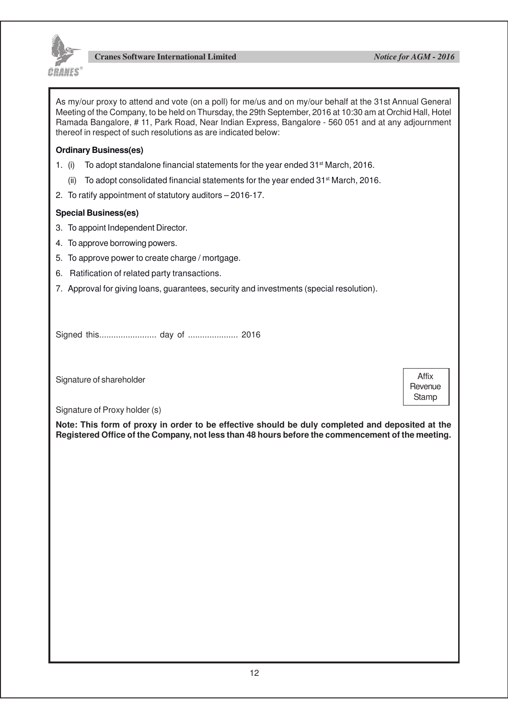

As my/our proxy to attend and vote (on a poll) for me/us and on my/our behalf at the 31st Annual General Meeting of the Company, to be held on Thursday, the 29th September, 2016 at 10:30 am at Orchid Hall, Hotel Ramada Bangalore, # 11, Park Road, Near Indian Express, Bangalore - 560 051 and at any adjournment thereof in respect of such resolutions as are indicated below:

### **Ordinary Business(es)**

- 1. (i) To adopt standalone financial statements for the year ended  $31<sup>st</sup>$  March, 2016.
	- (ii) To adopt consolidated financial statements for the year ended 31st March, 2016.
- 2. To ratify appointment of statutory auditors 2016-17.

### **Special Business(es)**

- 3. To appoint Independent Director.
- 4. To approve borrowing powers.
- 5. To approve power to create charge / mortgage.
- 6. Ratification of related party transactions.
- 7. Approval for giving loans, guarantees, security and investments (special resolution).

Signed this........................ day of ..................... 2016

Signature of shareholder

Affix **Revenue Stamp** 

Signature of Proxy holder (s)

**Note: This form of proxy in order to be effective should be duly completed and deposited at the Registered Office of the Company, not less than 48 hours before the commencement of the meeting.**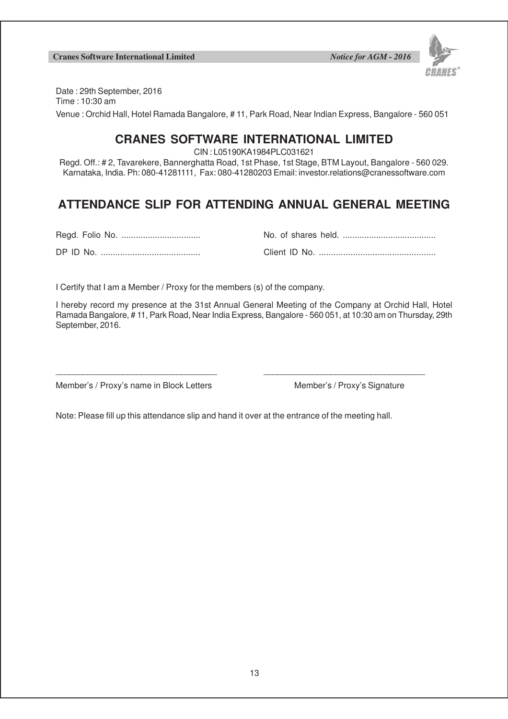

Date : 29th September, 2016 Time : 10:30 am Venue : Orchid Hall, Hotel Ramada Bangalore, # 11, Park Road, Near Indian Express, Bangalore - 560 051

### **CRANES SOFTWARE INTERNATIONAL LIMITED**

CIN : L05190KA1984PLC031621

Regd. Off.: # 2, Tavarekere, Bannerghatta Road, 1st Phase, 1st Stage, BTM Layout, Bangalore - 560 029. Karnataka, India. Ph: 080-41281111, Fax: 080-41280203 Email: investor.relations@cranessoftware.com

### **ATTENDANCE SLIP FOR ATTENDING ANNUAL GENERAL MEETING**

DP ID No. ......................................... Client ID No. ................................................

| מות חו פח | Client ID No. |
|-----------|---------------|

I Certify that I am a Member / Proxy for the members (s) of the company.

I hereby record my presence at the 31st Annual General Meeting of the Company at Orchid Hall, Hotel Ramada Bangalore, # 11, Park Road, Near India Express, Bangalore - 560 051, at 10:30 am on Thursday, 29th September, 2016.

Member's / Proxy's name in Block Letters Member's / Proxy's Signature

Note: Please fill up this attendance slip and hand it over at the entrance of the meeting hall.

\_\_\_\_\_\_\_\_\_\_\_\_\_\_\_\_\_\_\_\_\_\_\_\_\_\_\_\_\_\_\_\_\_\_\_\_ \_\_\_\_\_\_\_\_\_\_\_\_\_\_\_\_\_\_\_\_\_\_\_\_\_\_\_\_\_\_\_\_\_\_\_\_